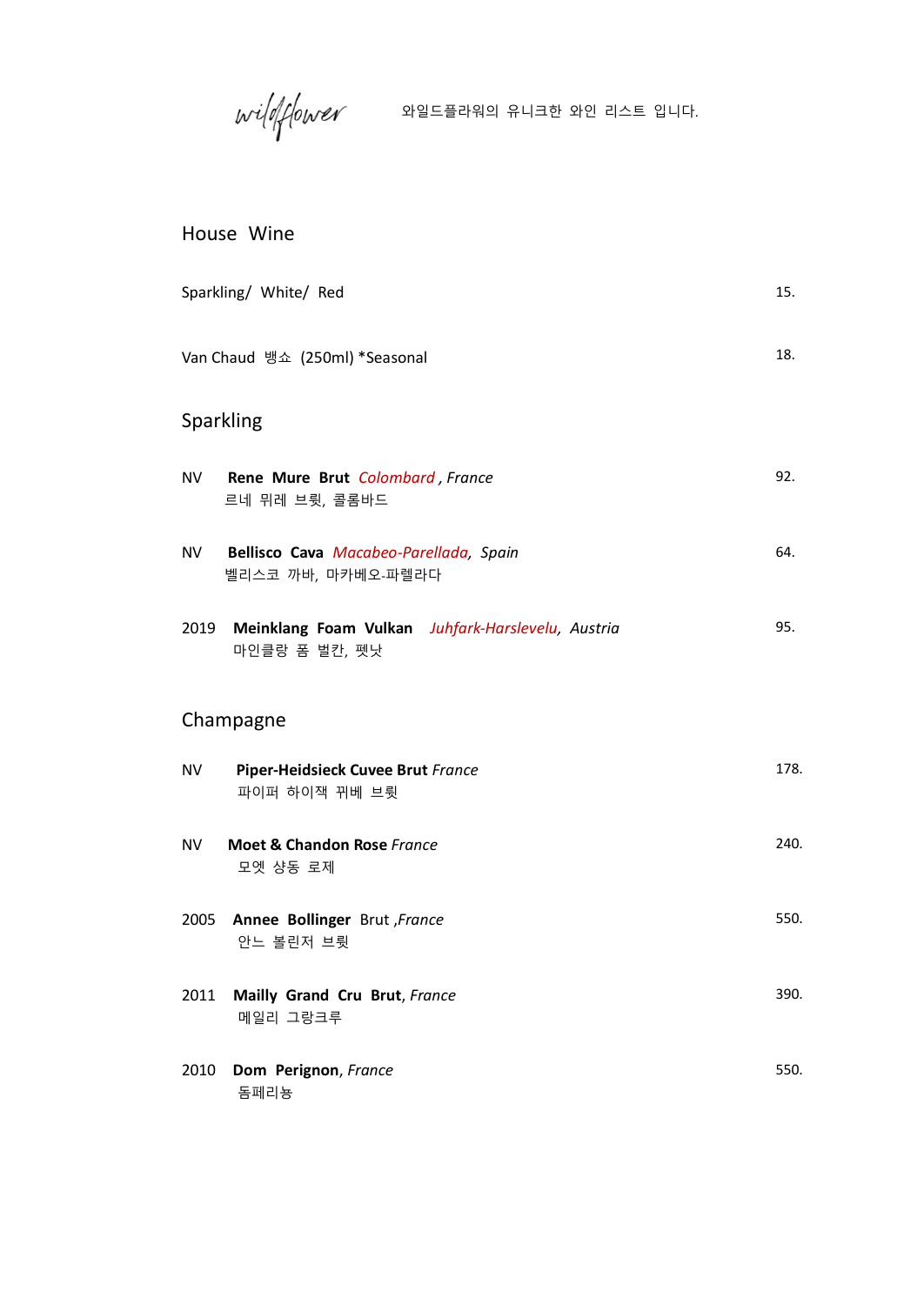$\textit{width}$ 

### House Wine

|           | Sparkling/ White/ Red                                                   | 15.  |
|-----------|-------------------------------------------------------------------------|------|
|           | Van Chaud 뱅쇼 (250ml) *Seasonal                                          | 18.  |
|           | Sparkling                                                               |      |
| <b>NV</b> | Rene Mure Brut Colombard, France<br>르네 뮈레 브륏, 콜롬바드                      | 92.  |
| NV 1      | Bellisco Cava Macabeo-Parellada, Spain<br>벨리스코 까바, 마카베오-파렐라다            | 64.  |
|           | 2019 Meinklang Foam Vulkan Juhfark-Harslevelu, Austria<br>마인클랑 폼 벌칸, 펫낫 | 95.  |
|           | Champagne                                                               |      |
| <b>NV</b> | Piper-Heidsieck Cuvee Brut France<br>파이퍼 하이잭 뀌베 브륏                      | 178. |
| <b>NV</b> | <b>Moet &amp; Chandon Rose France</b><br>모엣 샹동 로제                       | 240. |
|           | 2005 Annee Bollinger Brut, France<br>안느 볼린저 브륏                          | 550. |
| 2011      | Mailly Grand Cru Brut, France<br>메일리 그랑크루                               | 390. |
| 2010      | Dom Perignon, France<br>돔페리뇽                                            | 550. |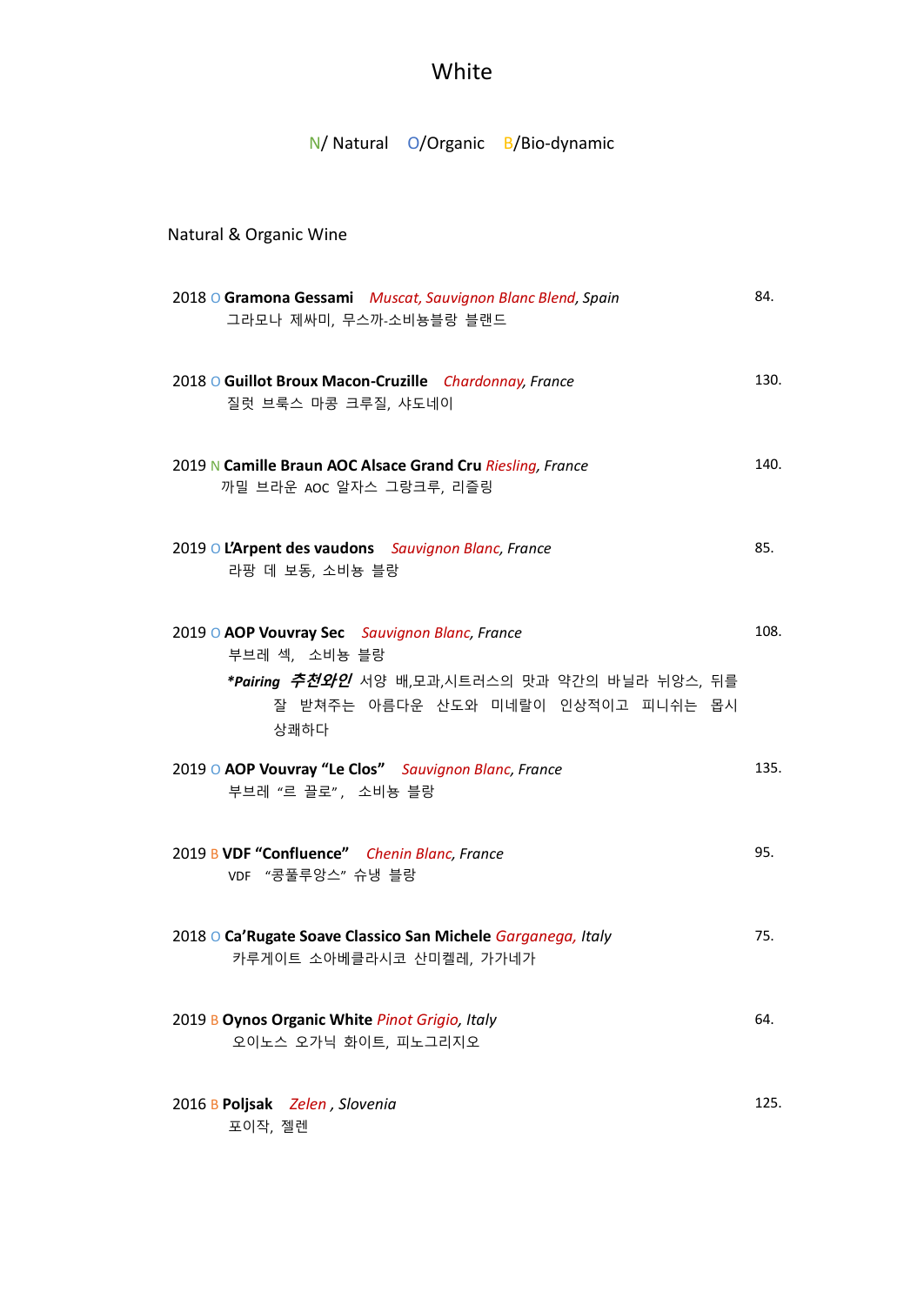# White

### N/ Natural O/Organic B/Bio-dynamic

### Natural & Organic Wine

| 2018 O Gramona Gessami Muscat, Sauvignon Blanc Blend, Spain<br>그라모나 제싸미, 무스까-소비뇽블랑 블랜드                                                                                 | 84.  |
|------------------------------------------------------------------------------------------------------------------------------------------------------------------------|------|
| 2018 O Guillot Broux Macon-Cruzille Chardonnay, France<br>질럿 브룩스 마콩 크루질, 샤도네이                                                                                          | 130. |
| 2019 N Camille Braun AOC Alsace Grand Cru Riesling, France<br>까밀 브라운 AOC 알자스 그랑크루, 리즐링                                                                                 | 140. |
| 2019 O L'Arpent des vaudons Sauvignon Blanc, France<br>라팡 데 보동, 소비뇽 블랑                                                                                                 | 85.  |
| 2019 O AOP Vouvray Sec Sauvignon Blanc, France<br>부브레 섹, 소비뇽 블랑<br><i>*Pairing 추천와인</i> 서양 배,모과,시트러스의 맛과 약간의 바닐라 뉘앙스, 뒤를<br>잘 받쳐주는 아름다운 산도와 미네랄이 인상적이고 피니쉬는 몹시<br>상쾌하다 | 108. |
| 2019 O AOP Vouvray "Le Clos" Sauvignon Blanc, France<br>부브레 "르 끌로", 소비뇽 블랑                                                                                             | 135. |
| 2019 B VDF "Confluence" Chenin Blanc, France<br>VDF "콩풀루앙스" 슈냉 블랑                                                                                                      | 95.  |
| 2018 O Ca'Rugate Soave Classico San Michele Garganega, Italy<br>카루게이트 소아베클라시코 산미켈레, 가가네가                                                                               | 75.  |
| 2019 B Oynos Organic White Pinot Grigio, Italy<br>오이노스 오가닉 화이트, 피노그리지오                                                                                                 | 64.  |
| 2016 B Poljsak Zelen, Slovenia<br>포이작, 젤렌                                                                                                                              | 125. |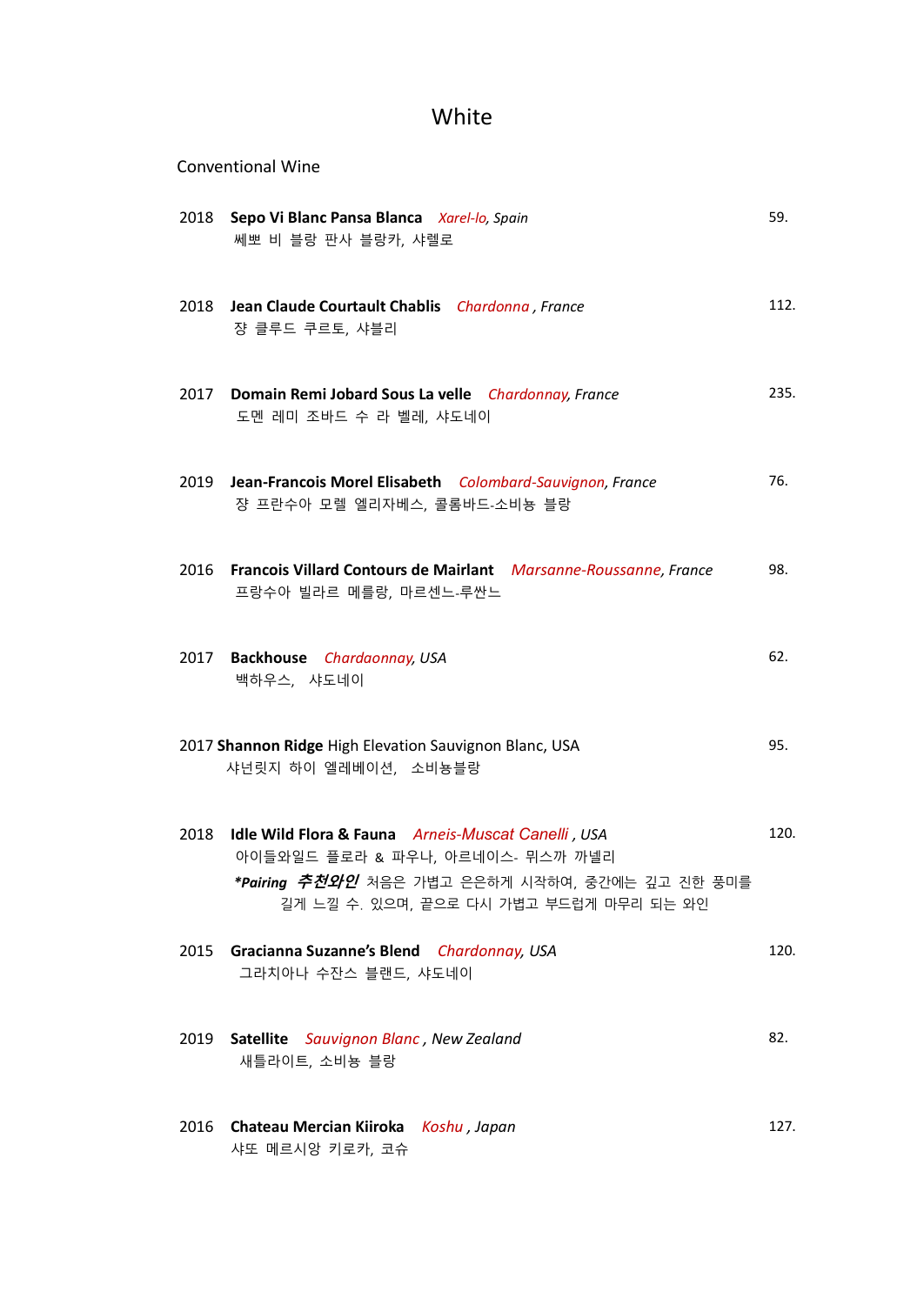### White

|      | <b>Conventional Wine</b>                                                                                                                                                                            |      |
|------|-----------------------------------------------------------------------------------------------------------------------------------------------------------------------------------------------------|------|
|      | 2018 Sepo Vi Blanc Pansa Blanca Xarel-lo, Spain<br>쎄뽀 비 블랑 판사 블랑카, 샤렐로                                                                                                                              | 59.  |
|      | 2018 Jean Claude Courtault Chablis Chardonna, France<br>쟝 클루드 쿠르토, 샤블리                                                                                                                              | 112. |
| 2017 | Domain Remi Jobard Sous La velle Chardonnay, France<br>도멘 레미 조바드 수 라 벨레, 샤도네이                                                                                                                       | 235. |
| 2019 | Jean-Francois Morel Elisabeth Colombard-Sauvignon, France<br>쟝 프란수아 모렐 엘리자베스, 콜롬바드-소비뇽 블랑                                                                                                           | 76.  |
|      | 2016 Francois Villard Contours de Mairlant Marsanne-Roussanne, France<br>프랑수아 빌라르 메를랑, 마르센느-루싼느                                                                                                     | 98.  |
|      | 2017 Backhouse Chardaonnay, USA<br>백하우스, 샤도네이                                                                                                                                                       | 62.  |
|      | 2017 Shannon Ridge High Elevation Sauvignon Blanc, USA<br>샤넌릿지 하이 엘레베이션, 소비뇽블랑                                                                                                                      | 95.  |
| 2018 | Idle Wild Flora & Fauna Arneis-Muscat Canelli, USA<br>아이들와일드 플로라 & 파우나, 아르네이스- 뮈스까 까넬리<br>* <b>Pairing <i>추천와인</i></b> 처음은 가볍고 은은하게 시작하여, 중간에는 깊고 진한 풍미를<br>길게 느낄 수. 있으며, 끝으로 다시 가볍고 부드럽게 마무리 되는 와인 | 120. |
|      | 2015 Gracianna Suzanne's Blend Chardonnay, USA<br>그라치아나 수잔스 블랜드, 샤도네이                                                                                                                               | 120. |
| 2019 | Satellite Sauvignon Blanc, New Zealand<br>새틀라이트, 소비뇽 블랑                                                                                                                                             | 82.  |
|      | 2016 Chateau Mercian Kiiroka Koshu, Japan<br>샤또 메르시앙 키로카, 코슈                                                                                                                                        | 127. |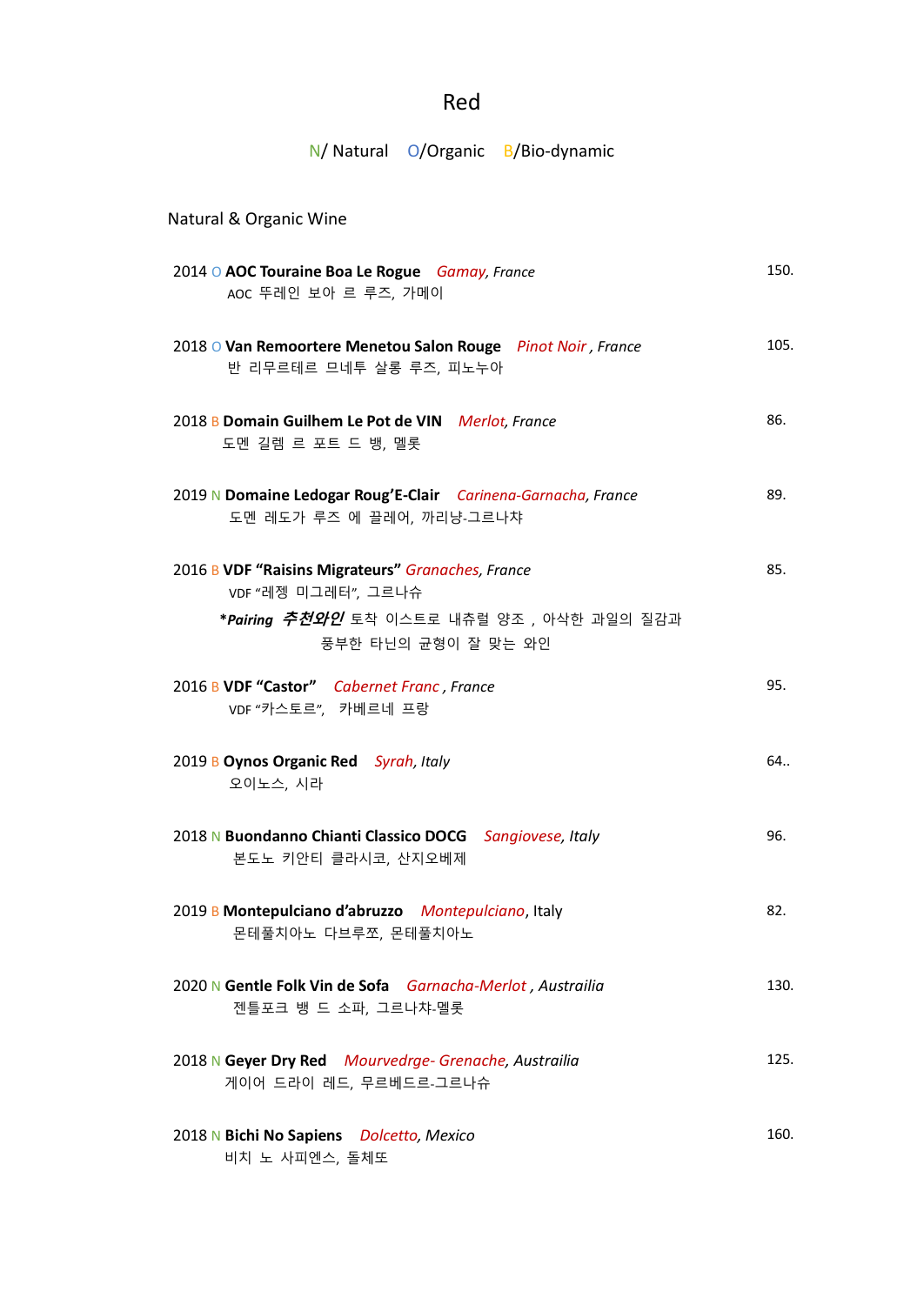# Red

# N/ Natural O/Organic B/Bio-dynamic

| Natural & Organic Wine                                                                                                                                       |      |
|--------------------------------------------------------------------------------------------------------------------------------------------------------------|------|
| 2014 O AOC Touraine Boa Le Rogue Gamay, France<br>AOC 뚜레인 보아 르 루즈, 가메이                                                                                       | 150. |
| 2018 O Van Remoortere Menetou Salon Rouge Pinot Noir, France<br>반 리무르테르 므네투 살롱 루즈, 피노누아                                                                      | 105. |
| 2018 B Domain Guilhem Le Pot de VIN Merlot, France<br>도멘 길렘 르 포트 드 뱅, 멜롯                                                                                     | 86.  |
| 2019 N Domaine Ledogar Roug'E-Clair Carinena-Garnacha, France<br>도멘 레도가 루즈 에 끌레어, 까리냥-그르나챠                                                                   | 89.  |
| 2016 B VDF "Raisins Migrateurs" Granaches, France<br>VDF "레젱 미그레터", 그르나슈<br>* <b>Pairing <i>추천와인</i></b> 토착 이스트로 내츄럴 양조 , 아삭한 과일의 질감과<br>풍부한 타닌의 균형이 잘 맞는 와인 | 85.  |
| 2016 B VDF "Castor" Cabernet Franc, France<br>VDF "카스토르", 카베르네 프랑                                                                                            | 95.  |
| 2019 B Oynos Organic Red Syrah, Italy<br>오이노스, 시라                                                                                                            | 64   |
| 2018 N Buondanno Chianti Classico DOCG Sangiovese, Italy<br>본도노 키안티 클라시코, 산지오베제                                                                              | 96.  |
| 2019 B Montepulciano d'abruzzo Montepulciano, Italy<br>몬테풀치아노 다브루쪼, 몬테풀치아노                                                                                   | 82.  |
| 2020 N Gentle Folk Vin de Sofa Garnacha-Merlot, Austrailia<br>젠틀포크 뱅 드 소파, 그르나챠-멜롯                                                                           | 130. |
| 2018 N Geyer Dry Red Mourvedrge- Grenache, Austrailia<br>게이어 드라이 레드, 무르베드르-그르나슈                                                                              | 125. |
| 2018 N Bichi No Sapiens Dolcetto, Mexico<br>비치 노 사피엔스, 돌체또                                                                                                   | 160. |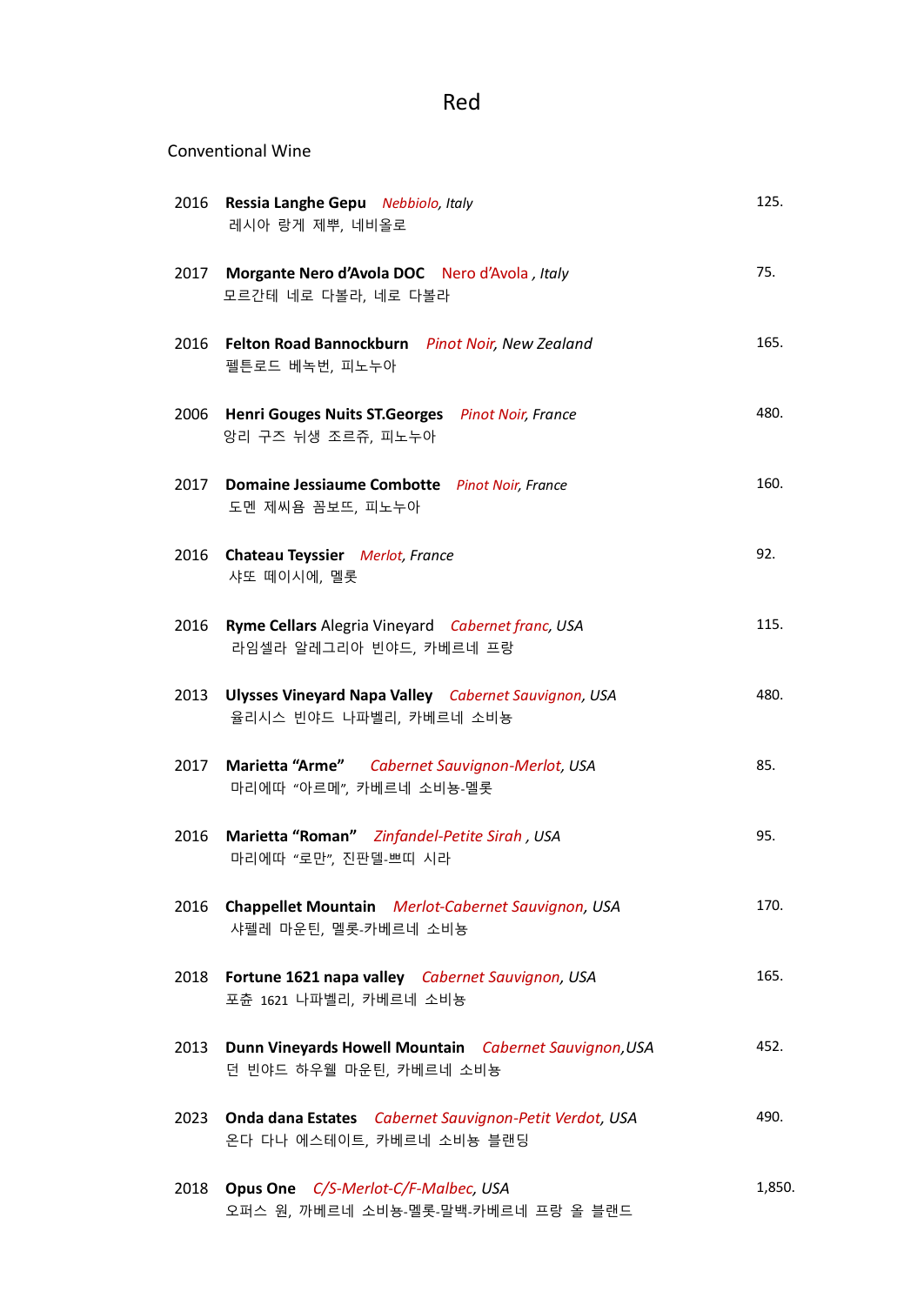# Red

#### Conventional Wine

|      | 2016 Ressia Langhe Gepu Nebbiolo, Italy<br>레시아 랑게 제뿌, 네비올로                               | 125.   |
|------|------------------------------------------------------------------------------------------|--------|
|      | 2017 Morgante Nero d'Avola DOC Nero d'Avola, Italy<br>모르간테 네로 다볼라, 네로 다볼라                | 75.    |
|      | 2016 Felton Road Bannockburn Pinot Noir, New Zealand<br>펠튼로드 베녹번, 피노누아                   | 165.   |
|      | 2006 Henri Gouges Nuits ST.Georges Pinot Noir, France<br>앙리 구즈 뉘생 조르쥬, 피노누아              | 480.   |
|      | 2017 Domaine Jessiaume Combotte Pinot Noir, France<br>도멘 제씨욤 꼼보뜨, 피노누아                   | 160.   |
|      | 2016 Chateau Teyssier Merlot, France<br>샤또 떼이시에, 멜롯                                      | 92.    |
|      | 2016 Ryme Cellars Alegria Vineyard Cabernet franc, USA<br>라임셀라 알레그리아 빈야드, 카베르네 프랑        | 115.   |
|      | 2013 Ulysses Vineyard Napa Valley Cabernet Sauvignon, USA<br>율리시스 빈야드 나파벨리, 카베르네 소비뇽     | 480.   |
|      | 2017 Marietta "Arme" Cabernet Sauvignon-Merlot, USA<br>마리에따 "아르메", 카베르네 소비뇽-멜롯           | 85.    |
| 2016 | Marietta "Roman" Zinfandel-Petite Sirah, USA<br>마리에따 "로만", 진판델-쁘띠 시라                     | 95.    |
|      | 2016 Chappellet Mountain Merlot-Cabernet Sauvignon, USA<br>샤펠레 마운틴, 멜롯-카베르네 소비뇽          | 170.   |
|      | 2018 Fortune 1621 napa valley Cabernet Sauvignon, USA<br>포츈 1621 나파벨리, 카베르네 소비뇽          | 165.   |
|      | 2013 Dunn Vineyards Howell Mountain Cabernet Sauvignon, USA<br>던 빈야드 하우웰 마운틴, 카베르네 소비뇽   | 452.   |
|      | 2023 Onda dana Estates Cabernet Sauvignon-Petit Verdot, USA<br>온다 다나 에스테이트, 카베르네 소비뇽 블랜딩 | 490.   |
|      | 2018 Opus One C/S-Merlot-C/F-Malbec, USA<br>오퍼스 원, 까베르네 소비뇽-멜롯-말백-카베르네 프랑 올 블랜드          | 1,850. |